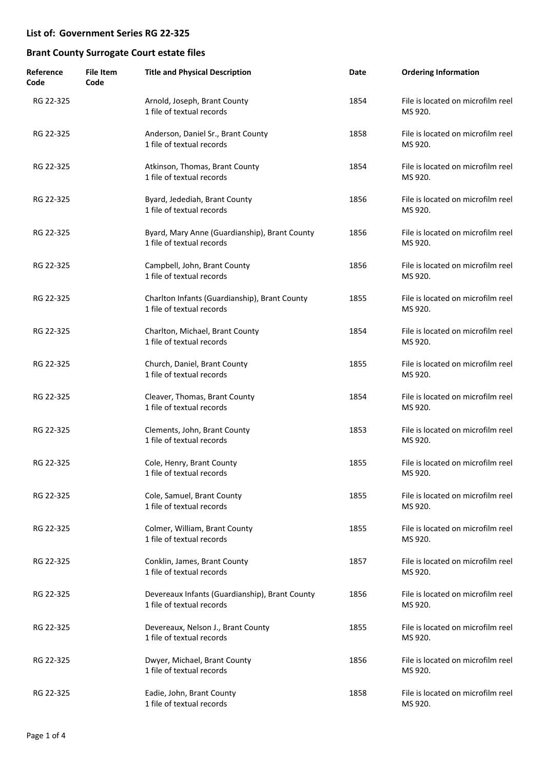| Reference<br>Code | <b>File Item</b><br>Code | <b>Title and Physical Description</b>                                       | Date | <b>Ordering Information</b>                  |
|-------------------|--------------------------|-----------------------------------------------------------------------------|------|----------------------------------------------|
| RG 22-325         |                          | Arnold, Joseph, Brant County<br>1 file of textual records                   | 1854 | File is located on microfilm reel<br>MS 920. |
| RG 22-325         |                          | Anderson, Daniel Sr., Brant County<br>1 file of textual records             | 1858 | File is located on microfilm reel<br>MS 920. |
| RG 22-325         |                          | Atkinson, Thomas, Brant County<br>1 file of textual records                 | 1854 | File is located on microfilm reel<br>MS 920. |
| RG 22-325         |                          | Byard, Jedediah, Brant County<br>1 file of textual records                  | 1856 | File is located on microfilm reel<br>MS 920. |
| RG 22-325         |                          | Byard, Mary Anne (Guardianship), Brant County<br>1 file of textual records  | 1856 | File is located on microfilm reel<br>MS 920. |
| RG 22-325         |                          | Campbell, John, Brant County<br>1 file of textual records                   | 1856 | File is located on microfilm reel<br>MS 920. |
| RG 22-325         |                          | Charlton Infants (Guardianship), Brant County<br>1 file of textual records  | 1855 | File is located on microfilm reel<br>MS 920. |
| RG 22-325         |                          | Charlton, Michael, Brant County<br>1 file of textual records                | 1854 | File is located on microfilm reel<br>MS 920. |
| RG 22-325         |                          | Church, Daniel, Brant County<br>1 file of textual records                   | 1855 | File is located on microfilm reel<br>MS 920. |
| RG 22-325         |                          | Cleaver, Thomas, Brant County<br>1 file of textual records                  | 1854 | File is located on microfilm reel<br>MS 920. |
| RG 22-325         |                          | Clements, John, Brant County<br>1 file of textual records                   | 1853 | File is located on microfilm reel<br>MS 920. |
| RG 22-325         |                          | Cole, Henry, Brant County<br>1 file of textual records                      | 1855 | File is located on microfilm reel<br>MS 920. |
| RG 22-325         |                          | Cole, Samuel, Brant County<br>1 file of textual records                     | 1855 | File is located on microfilm reel<br>MS 920. |
| RG 22-325         |                          | Colmer, William, Brant County<br>1 file of textual records                  | 1855 | File is located on microfilm reel<br>MS 920. |
| RG 22-325         |                          | Conklin, James, Brant County<br>1 file of textual records                   | 1857 | File is located on microfilm reel<br>MS 920. |
| RG 22-325         |                          | Devereaux Infants (Guardianship), Brant County<br>1 file of textual records | 1856 | File is located on microfilm reel<br>MS 920. |
| RG 22-325         |                          | Devereaux, Nelson J., Brant County<br>1 file of textual records             | 1855 | File is located on microfilm reel<br>MS 920. |
| RG 22-325         |                          | Dwyer, Michael, Brant County<br>1 file of textual records                   | 1856 | File is located on microfilm reel<br>MS 920. |
| RG 22-325         |                          | Eadie, John, Brant County<br>1 file of textual records                      | 1858 | File is located on microfilm reel<br>MS 920. |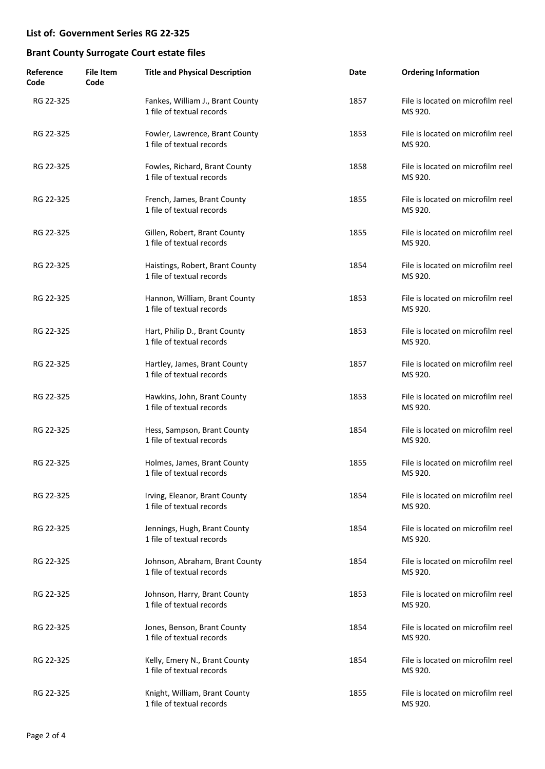| Reference<br>Code | <b>File Item</b><br>Code | <b>Title and Physical Description</b>                         | Date | <b>Ordering Information</b>                  |
|-------------------|--------------------------|---------------------------------------------------------------|------|----------------------------------------------|
| RG 22-325         |                          | Fankes, William J., Brant County<br>1 file of textual records | 1857 | File is located on microfilm reel<br>MS 920. |
| RG 22-325         |                          | Fowler, Lawrence, Brant County<br>1 file of textual records   | 1853 | File is located on microfilm reel<br>MS 920. |
| RG 22-325         |                          | Fowles, Richard, Brant County<br>1 file of textual records    | 1858 | File is located on microfilm reel<br>MS 920. |
| RG 22-325         |                          | French, James, Brant County<br>1 file of textual records      | 1855 | File is located on microfilm reel<br>MS 920. |
| RG 22-325         |                          | Gillen, Robert, Brant County<br>1 file of textual records     | 1855 | File is located on microfilm reel<br>MS 920. |
| RG 22-325         |                          | Haistings, Robert, Brant County<br>1 file of textual records  | 1854 | File is located on microfilm reel<br>MS 920. |
| RG 22-325         |                          | Hannon, William, Brant County<br>1 file of textual records    | 1853 | File is located on microfilm reel<br>MS 920. |
| RG 22-325         |                          | Hart, Philip D., Brant County<br>1 file of textual records    | 1853 | File is located on microfilm reel<br>MS 920. |
| RG 22-325         |                          | Hartley, James, Brant County<br>1 file of textual records     | 1857 | File is located on microfilm reel<br>MS 920. |
| RG 22-325         |                          | Hawkins, John, Brant County<br>1 file of textual records      | 1853 | File is located on microfilm reel<br>MS 920. |
| RG 22-325         |                          | Hess, Sampson, Brant County<br>1 file of textual records      | 1854 | File is located on microfilm reel<br>MS 920. |
| RG 22-325         |                          | Holmes, James, Brant County<br>1 file of textual records      | 1855 | File is located on microfilm reel<br>MS 920. |
| RG 22-325         |                          | Irving, Eleanor, Brant County<br>1 file of textual records    | 1854 | File is located on microfilm reel<br>MS 920. |
| RG 22-325         |                          | Jennings, Hugh, Brant County<br>1 file of textual records     | 1854 | File is located on microfilm reel<br>MS 920. |
| RG 22-325         |                          | Johnson, Abraham, Brant County<br>1 file of textual records   | 1854 | File is located on microfilm reel<br>MS 920. |
| RG 22-325         |                          | Johnson, Harry, Brant County<br>1 file of textual records     | 1853 | File is located on microfilm reel<br>MS 920. |
| RG 22-325         |                          | Jones, Benson, Brant County<br>1 file of textual records      | 1854 | File is located on microfilm reel<br>MS 920. |
| RG 22-325         |                          | Kelly, Emery N., Brant County<br>1 file of textual records    | 1854 | File is located on microfilm reel<br>MS 920. |
| RG 22-325         |                          | Knight, William, Brant County<br>1 file of textual records    | 1855 | File is located on microfilm reel<br>MS 920. |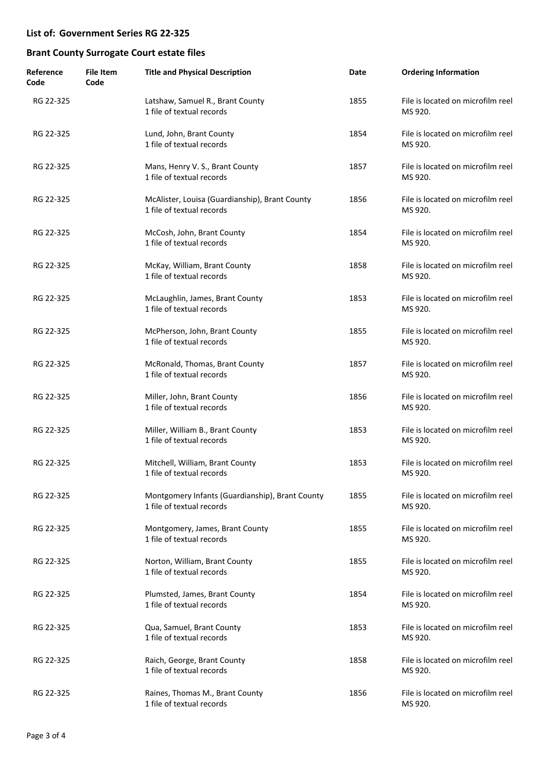| Reference<br>Code | <b>File Item</b><br>Code | <b>Title and Physical Description</b>                                        | Date | <b>Ordering Information</b>                  |
|-------------------|--------------------------|------------------------------------------------------------------------------|------|----------------------------------------------|
| RG 22-325         |                          | Latshaw, Samuel R., Brant County<br>1 file of textual records                | 1855 | File is located on microfilm reel<br>MS 920. |
| RG 22-325         |                          | Lund, John, Brant County<br>1 file of textual records                        | 1854 | File is located on microfilm reel<br>MS 920. |
| RG 22-325         |                          | Mans, Henry V. S., Brant County<br>1 file of textual records                 | 1857 | File is located on microfilm reel<br>MS 920. |
| RG 22-325         |                          | McAlister, Louisa (Guardianship), Brant County<br>1 file of textual records  | 1856 | File is located on microfilm reel<br>MS 920. |
| RG 22-325         |                          | McCosh, John, Brant County<br>1 file of textual records                      | 1854 | File is located on microfilm reel<br>MS 920. |
| RG 22-325         |                          | McKay, William, Brant County<br>1 file of textual records                    | 1858 | File is located on microfilm reel<br>MS 920. |
| RG 22-325         |                          | McLaughlin, James, Brant County<br>1 file of textual records                 | 1853 | File is located on microfilm reel<br>MS 920. |
| RG 22-325         |                          | McPherson, John, Brant County<br>1 file of textual records                   | 1855 | File is located on microfilm reel<br>MS 920. |
| RG 22-325         |                          | McRonald, Thomas, Brant County<br>1 file of textual records                  | 1857 | File is located on microfilm reel<br>MS 920. |
| RG 22-325         |                          | Miller, John, Brant County<br>1 file of textual records                      | 1856 | File is located on microfilm reel<br>MS 920. |
| RG 22-325         |                          | Miller, William B., Brant County<br>1 file of textual records                | 1853 | File is located on microfilm reel<br>MS 920. |
| RG 22-325         |                          | Mitchell, William, Brant County<br>1 file of textual records                 | 1853 | File is located on microfilm reel<br>MS 920. |
| RG 22-325         |                          | Montgomery Infants (Guardianship), Brant County<br>1 file of textual records | 1855 | File is located on microfilm reel<br>MS 920. |
| RG 22-325         |                          | Montgomery, James, Brant County<br>1 file of textual records                 | 1855 | File is located on microfilm reel<br>MS 920. |
| RG 22-325         |                          | Norton, William, Brant County<br>1 file of textual records                   | 1855 | File is located on microfilm reel<br>MS 920. |
| RG 22-325         |                          | Plumsted, James, Brant County<br>1 file of textual records                   | 1854 | File is located on microfilm reel<br>MS 920. |
| RG 22-325         |                          | Qua, Samuel, Brant County<br>1 file of textual records                       | 1853 | File is located on microfilm reel<br>MS 920. |
| RG 22-325         |                          | Raich, George, Brant County<br>1 file of textual records                     | 1858 | File is located on microfilm reel<br>MS 920. |
| RG 22-325         |                          | Raines, Thomas M., Brant County<br>1 file of textual records                 | 1856 | File is located on microfilm reel<br>MS 920. |